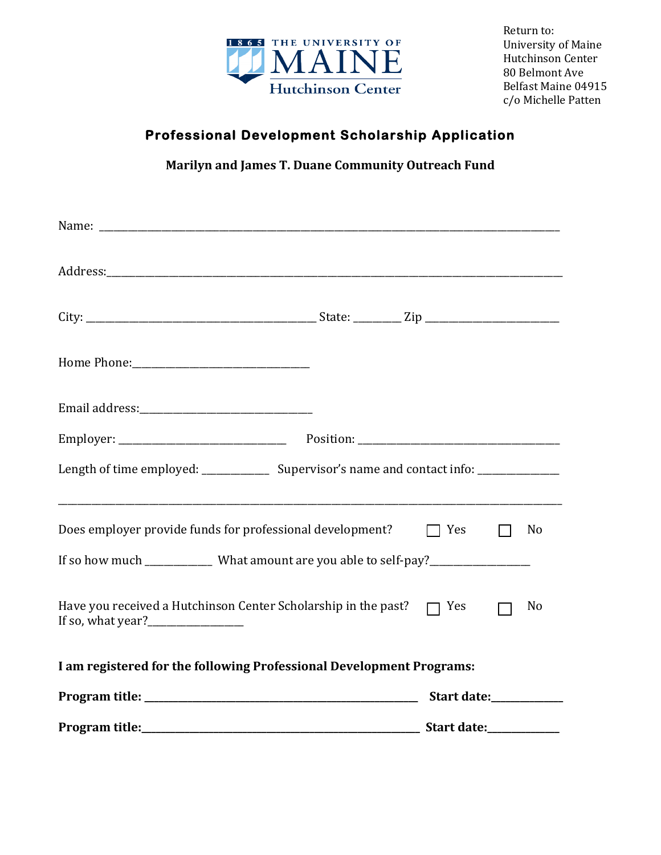

Return to: University of Maine Hutchinson Center 80 Belmont Ave Belfast Maine 04915 c/o Michelle Patten 

## **Professional Development Scholarship Application**

**Marilyn and James T. Duane Community Outreach Fund**

| Length of time employed: ________________ Supervisor's name and contact info: _____________________ |                         |              |                |
|-----------------------------------------------------------------------------------------------------|-------------------------|--------------|----------------|
| Does employer provide funds for professional development?                                           | $\Box$ Yes              | $\mathbf{1}$ | No             |
| If so how much ______________ What amount are you able to self-pay?______________                   |                         |              |                |
| Have you received a Hutchinson Center Scholarship in the past? $\Box$ Yes                           |                         |              | N <sub>o</sub> |
| I am registered for the following Professional Development Programs:                                |                         |              |                |
|                                                                                                     | Start date:___________  |              |                |
|                                                                                                     | Start date:____________ |              |                |